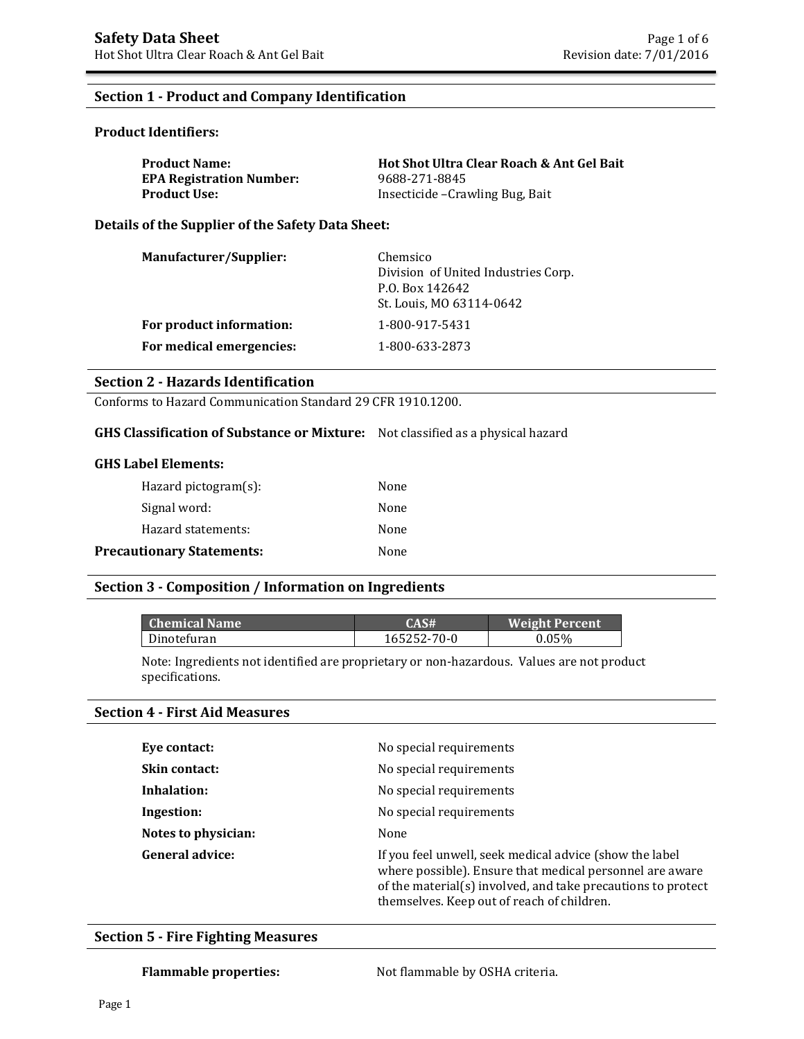#### **Section 1 - Product and Company Identification**

#### **Product Identifiers:**

| <b>Product Name:</b>            | Hot Shot Ultra Clear Roach & Ant Gel Bait |
|---------------------------------|-------------------------------------------|
| <b>EPA Registration Number:</b> | 9688-271-8845                             |
| Product Use:                    | Insecticide - Crawling Bug, Bait          |

**Details of the Supplier of the Safety Data Sheet:**

| Manufacturer/Supplier:   | Chemsico<br>Division of United Industries Corp.<br>P.O. Box 142642<br>St. Louis, MO 63114-0642 |
|--------------------------|------------------------------------------------------------------------------------------------|
| For product information: | 1-800-917-5431                                                                                 |
| For medical emergencies: | 1-800-633-2873                                                                                 |

#### **Section 2 - Hazards Identification**

Conforms to Hazard Communication Standard 29 CFR 1910.1200.

#### **GHS Classification of Substance or Mixture:** Not classified as a physical hazard

#### **GHS Label Elements:**

| Hazard pictogram $(s)$ :         | None |
|----------------------------------|------|
| Signal word:                     | None |
| Hazard statements:               | None |
| <b>Precautionary Statements:</b> | None |

#### **Section 3 - Composition / Information on Ingredients**

| <b>Chemical Name</b> | CAS#        | <b>Weight Percent</b> |
|----------------------|-------------|-----------------------|
| Dinotefuran          | 165252-70-0 | 0.05%                 |

Note: Ingredients not identified are proprietary or non-hazardous. Values are not product specifications.

#### **Section 4 - First Aid Measures**

| Eye contact:           | No special requirements                                                                                                                                                                                                           |
|------------------------|-----------------------------------------------------------------------------------------------------------------------------------------------------------------------------------------------------------------------------------|
| <b>Skin contact:</b>   | No special requirements                                                                                                                                                                                                           |
| Inhalation:            | No special requirements                                                                                                                                                                                                           |
| Ingestion:             | No special requirements                                                                                                                                                                                                           |
| Notes to physician:    | None                                                                                                                                                                                                                              |
| <b>General advice:</b> | If you feel unwell, seek medical advice (show the label<br>where possible). Ensure that medical personnel are aware<br>of the material(s) involved, and take precautions to protect<br>themselves. Keep out of reach of children. |

#### **Section 5 - Fire Fighting Measures**

Flammable properties: Not flammable by OSHA criteria.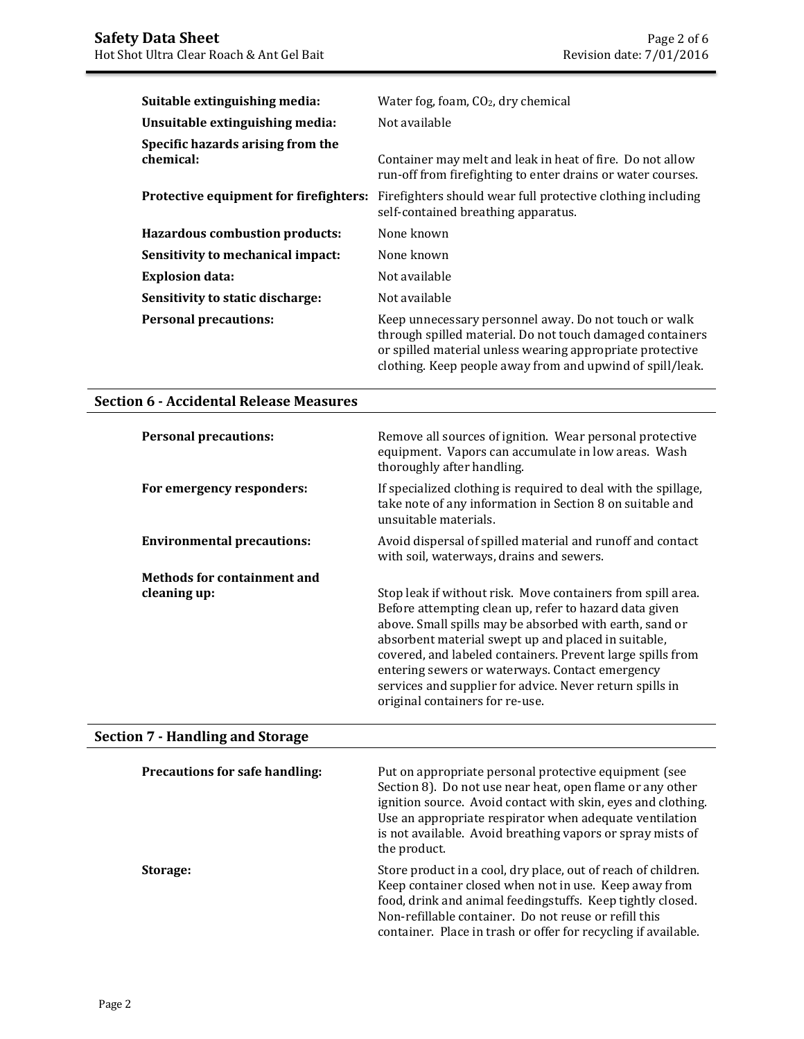| Suitable extinguishing media:                  | Water fog, foam, $CO2$ , dry chemical                                                                                                                                                                                                        |
|------------------------------------------------|----------------------------------------------------------------------------------------------------------------------------------------------------------------------------------------------------------------------------------------------|
| Unsuitable extinguishing media:                | Not available                                                                                                                                                                                                                                |
| Specific hazards arising from the<br>chemical: | Container may melt and leak in heat of fire. Do not allow<br>run-off from firefighting to enter drains or water courses.                                                                                                                     |
| Protective equipment for firefighters:         | Fire fighters should wear full protective clothing including<br>self-contained breathing apparatus.                                                                                                                                          |
| <b>Hazardous combustion products:</b>          | None known                                                                                                                                                                                                                                   |
| Sensitivity to mechanical impact:              | None known                                                                                                                                                                                                                                   |
| <b>Explosion data:</b>                         | Not available                                                                                                                                                                                                                                |
| Sensitivity to static discharge:               | Not available                                                                                                                                                                                                                                |
| <b>Personal precautions:</b>                   | Keep unnecessary personnel away. Do not touch or walk<br>through spilled material. Do not touch damaged containers<br>or spilled material unless wearing appropriate protective<br>clothing. Keep people away from and upwind of spill/leak. |

## **Section 6 - Accidental Release Measures**

| <b>Personal precautions:</b>      | Remove all sources of ignition. Wear personal protective<br>equipment. Vapors can accumulate in low areas. Wash<br>thoroughly after handling.                                                                                                                                                                                                                                                                                                           |
|-----------------------------------|---------------------------------------------------------------------------------------------------------------------------------------------------------------------------------------------------------------------------------------------------------------------------------------------------------------------------------------------------------------------------------------------------------------------------------------------------------|
| For emergency responders:         | If specialized clothing is required to deal with the spillage,<br>take note of any information in Section 8 on suitable and<br>unsuitable materials.                                                                                                                                                                                                                                                                                                    |
| <b>Environmental precautions:</b> | Avoid dispersal of spilled material and runoff and contact<br>with soil, waterways, drains and sewers.                                                                                                                                                                                                                                                                                                                                                  |
| Methods for containment and       |                                                                                                                                                                                                                                                                                                                                                                                                                                                         |
| cleaning up:                      | Stop leak if without risk. Move containers from spill area.<br>Before attempting clean up, refer to hazard data given<br>above. Small spills may be absorbed with earth, sand or<br>absorbent material swept up and placed in suitable,<br>covered, and labeled containers. Prevent large spills from<br>entering sewers or waterways. Contact emergency<br>services and supplier for advice. Never return spills in<br>original containers for re-use. |

# **Section 7 - Handling and Storage**

| <b>Precautions for safe handling:</b> | Put on appropriate personal protective equipment (see<br>Section 8). Do not use near heat, open flame or any other<br>ignition source. Avoid contact with skin, eyes and clothing.<br>Use an appropriate respirator when adequate ventilation<br>is not available. Avoid breathing vapors or spray mists of<br>the product. |
|---------------------------------------|-----------------------------------------------------------------------------------------------------------------------------------------------------------------------------------------------------------------------------------------------------------------------------------------------------------------------------|
| Storage:                              | Store product in a cool, dry place, out of reach of children.<br>Keep container closed when not in use. Keep away from<br>food, drink and animal feedingstuffs. Keep tightly closed.<br>Non-refillable container. Do not reuse or refill this<br>container. Place in trash or offer for recycling if available.             |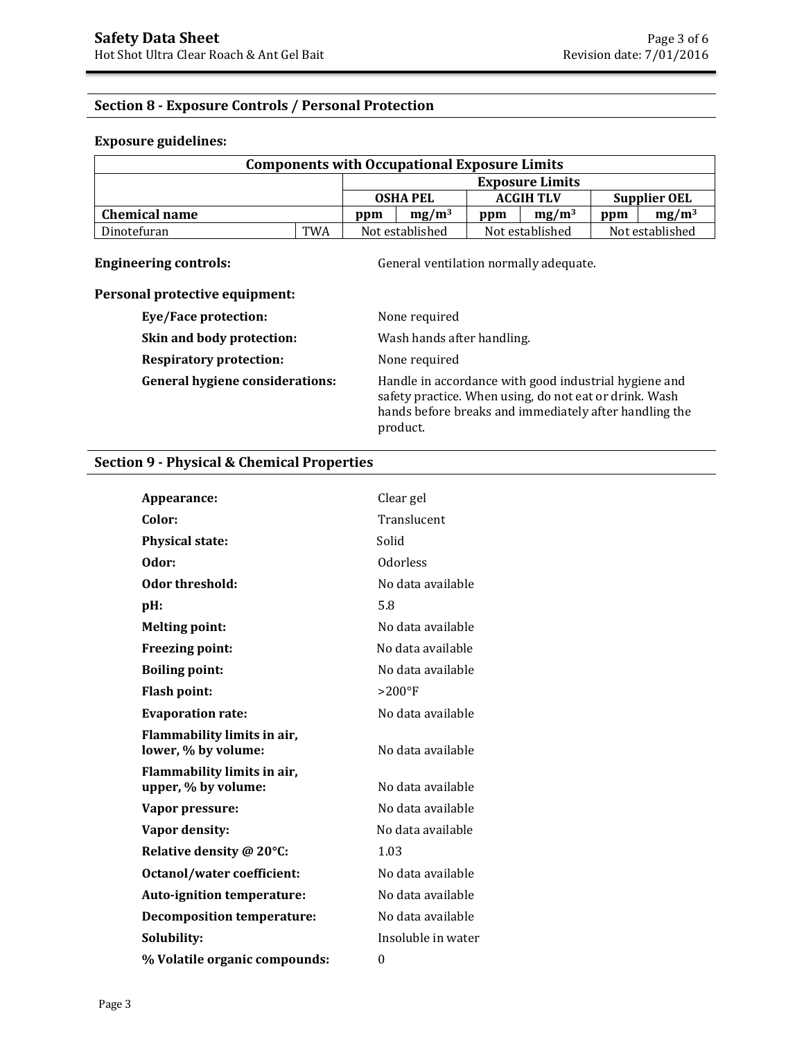## **Section 8 - Exposure Controls / Personal Protection**

#### **Exposure guidelines:**

| <b>Components with Occupational Exposure Limits</b> |            |                                                       |     |                  |                        |                     |  |
|-----------------------------------------------------|------------|-------------------------------------------------------|-----|------------------|------------------------|---------------------|--|
|                                                     |            |                                                       |     |                  | <b>Exposure Limits</b> |                     |  |
|                                                     |            | <b>OSHA PEL</b>                                       |     | <b>ACGIH TLV</b> |                        | <b>Supplier OEL</b> |  |
| <b>Chemical name</b><br>ppm                         |            | $mg/m^3$                                              | ppm | $mg/m^3$         | ppm                    | $mg/m^3$            |  |
| Dinotefuran                                         | <b>TWA</b> | Not established<br>Not established<br>Not established |     |                  |                        |                     |  |

**Engineering controls:** General ventilation normally adequate.

## **Personal protective equipment:**

| Eye/Face protection:                   | None required                                                                                                                                                                         |
|----------------------------------------|---------------------------------------------------------------------------------------------------------------------------------------------------------------------------------------|
| Skin and body protection:              | Wash hands after handling.                                                                                                                                                            |
| <b>Respiratory protection:</b>         | None required                                                                                                                                                                         |
| <b>General hygiene considerations:</b> | Handle in accordance with good industrial hygiene and<br>safety practice. When using, do not eat or drink. Wash<br>hands before breaks and immediately after handling the<br>product. |

### **Section 9 - Physical & Chemical Properties**

| Appearance:                                        | Clear gel          |
|----------------------------------------------------|--------------------|
| Color:                                             | Translucent        |
| <b>Physical state:</b>                             | Solid              |
| Odor:                                              | Odorless           |
| Odor threshold:                                    | No data available  |
| pH:                                                | 5.8                |
| <b>Melting point:</b>                              | No data available  |
| <b>Freezing point:</b>                             | No data available  |
| <b>Boiling point:</b>                              | No data available  |
| <b>Flash point:</b>                                | $>200$ °F          |
| <b>Evaporation rate:</b>                           | No data available  |
| Flammability limits in air,<br>lower, % by volume: | No data available  |
| Flammability limits in air,<br>upper, % by volume: | No data available  |
| Vapor pressure:                                    | No data available  |
| Vapor density:                                     | No data available  |
| Relative density @ 20°C:                           | 1.03               |
| <b>Octanol/water coefficient:</b>                  | No data available  |
| <b>Auto-ignition temperature:</b>                  | No data available  |
| <b>Decomposition temperature:</b>                  | No data available  |
| Solubility:                                        | Insoluble in water |
| % Volatile organic compounds:                      | 0                  |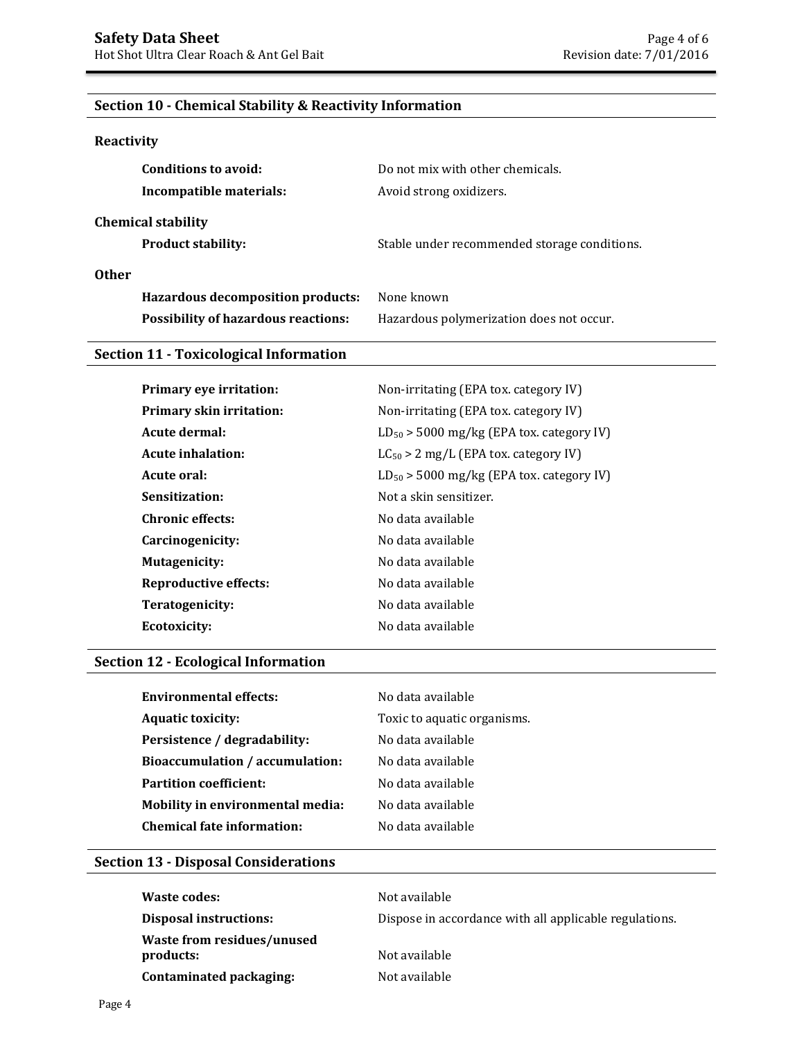## **Section 10 - Chemical Stability & Reactivity Information**

## **Reactivity**

| Conditions to avoid:                       | Do not mix with other chemicals.             |
|--------------------------------------------|----------------------------------------------|
| Incompatible materials:                    | Avoid strong oxidizers.                      |
| <b>Chemical stability</b>                  |                                              |
| <b>Product stability:</b>                  | Stable under recommended storage conditions. |
| <b>Other</b>                               |                                              |
| <b>Hazardous decomposition products:</b>   | None known                                   |
| <b>Possibility of hazardous reactions:</b> | Hazardous polymerization does not occur.     |

### **Section 11 - Toxicological Information**

| <b>Primary eye irritation:</b>  | Non-irritating (EPA tox. category IV)         |
|---------------------------------|-----------------------------------------------|
| <b>Primary skin irritation:</b> | Non-irritating (EPA tox. category IV)         |
| Acute dermal:                   | $LD_{50}$ > 5000 mg/kg (EPA tox. category IV) |
| Acute inhalation:               | $LC_{50} > 2$ mg/L (EPA tox. category IV)     |
| Acute oral:                     | $LD_{50}$ > 5000 mg/kg (EPA tox. category IV) |
| Sensitization:                  | Not a skin sensitizer.                        |
| <b>Chronic effects:</b>         | No data available                             |
| Carcinogenicity:                | No data available                             |
| <b>Mutagenicity:</b>            | No data available                             |
| Reproductive effects:           | No data available                             |
| Teratogenicity:                 | No data available                             |
| Ecotoxicity:                    | No data available                             |

## **Section 12 - Ecological Information**

| Environmental effects:                 | No data available           |
|----------------------------------------|-----------------------------|
| <b>Aquatic toxicity:</b>               | Toxic to aquatic organisms. |
| Persistence / degradability:           | No data available           |
| <b>Bioaccumulation / accumulation:</b> | No data available           |
| <b>Partition coefficient:</b>          | No data available           |
| Mobility in environmental media:       | No data available           |
| <b>Chemical fate information:</b>      | No data available           |
|                                        |                             |

## **Section 13 - Disposal Considerations**

| <b>Waste codes:</b>                            | Not available                                          |
|------------------------------------------------|--------------------------------------------------------|
| <b>Disposal instructions:</b>                  | Dispose in accordance with all applicable regulations. |
| <b>Waste from residues/unused</b><br>products: | Not available                                          |
| Contaminated packaging:                        | Not available                                          |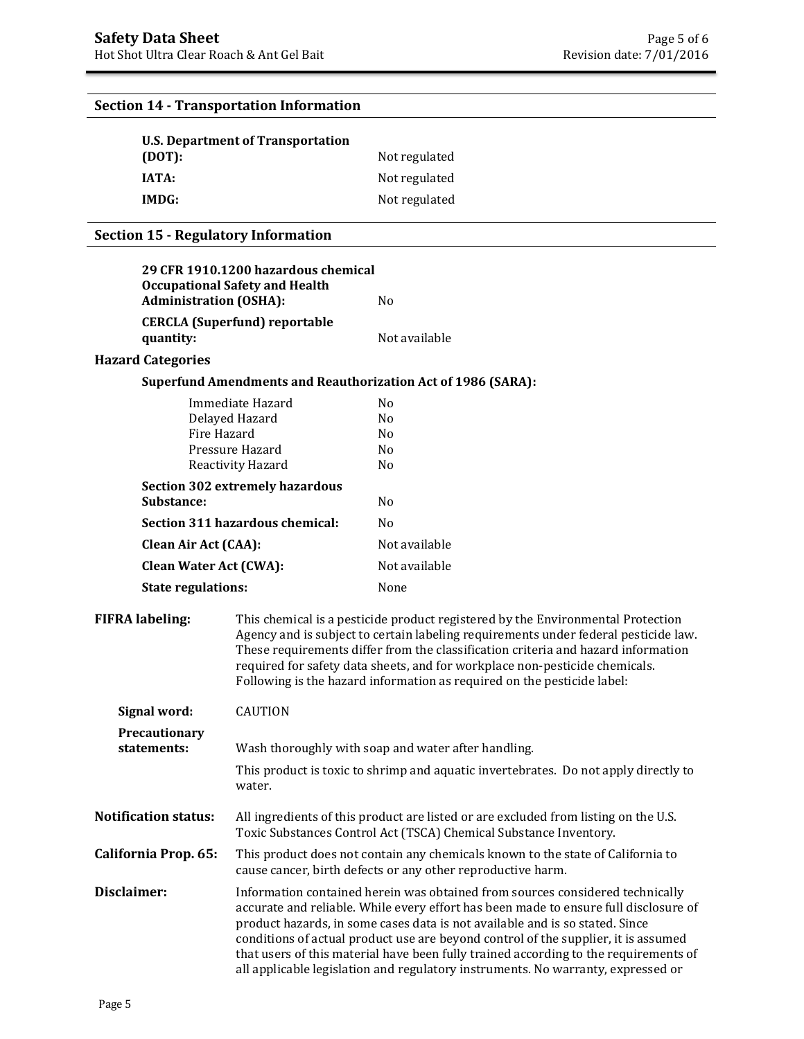# **U.S. Department of Transportation (DOT):** Not regulated **IATA:** Not regulated **IMDG:** Not regulated **29 CFR 1910.1200 hazardous chemical Occupational Safety and Health Administration (OSHA):** No **CERCLA (Superfund) reportable quantity:** Not available **Hazard Categories Superfund Amendments and Reauthorization Act of 1986 (SARA):** Immediate Hazard No Delayed Hazard No Fire Hazard No Pressure Hazard No Reactivity Hazard No **Section 302 extremely hazardous Substance:** No **Section 311 hazardous chemical:** No **Clean Air Act (CAA):** Not available **Clean Water Act (CWA):** Not available **State regulations:** None **FIFRA labeling:** This chemical is a pesticide product registered by the Environmental Protection Agency and is subject to certain labeling requirements under federal pesticide law. These requirements differ from the classification criteria and hazard information required for safety data sheets, and for workplace non-pesticide chemicals. Following is the hazard information as required on the pesticide label: **Signal word:** CAUTION **Precautionary statements:** Wash thoroughly with soap and water after handling. This product is toxic to shrimp and aquatic invertebrates. Do not apply directly to water. **Notification status:** All ingredients of this product are listed or are excluded from listing on the U.S. Toxic Substances Control Act (TSCA) Chemical Substance Inventory. **California Prop. 65:** This product does not contain any chemicals known to the state of California to cause cancer, birth defects or any other reproductive harm. **Disclaimer:** Information contained herein was obtained from sources considered technically accurate and reliable. While every effort has been made to ensure full disclosure of product hazards, in some cases data is not available and is so stated. Since conditions of actual product use are beyond control of the supplier, it is assumed that users of this material have been fully trained according to the requirements of all applicable legislation and regulatory instruments. No warranty, expressed or **Section 14 - Transportation Information Section 15 - Regulatory Information**